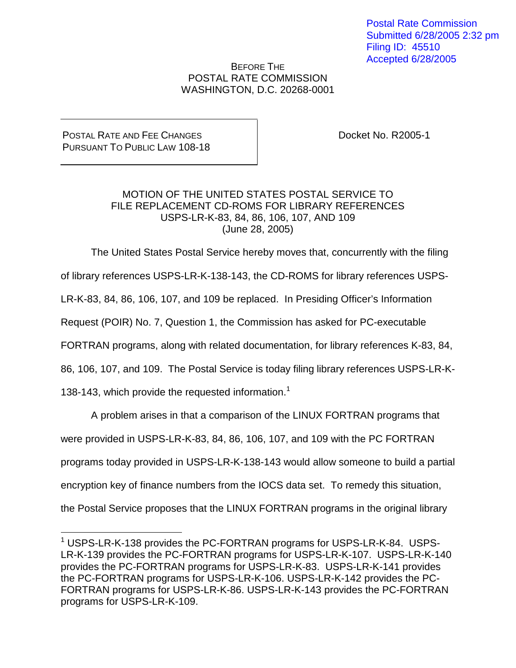Postal Rate Commission Submitted 6/28/2005 2:32 pm Filing ID: 45510 Accepted 6/28/2005

## BEFORE THE POSTAL RATE COMMISSION WASHINGTON, D.C. 20268-0001

## POSTAL RATE AND FEE CHANGES PURSUANT TO PUBLIC LAW 108-18

Docket No. R2005-1

## MOTION OF THE UNITED STATES POSTAL SERVICE TO FILE REPLACEMENT CD-ROMS FOR LIBRARY REFERENCES USPS-LR-K-83, 84, 86, 106, 107, AND 109 (June 28, 2005)

The United States Postal Service hereby moves that, concurrently with the filing

of library references USPS-LR-K-138-143, the CD-ROMS for library references USPS-

LR-K-83, 84, 86, 106, 107, and 109 be replaced. In Presiding Officer's Information

Request (POIR) No. 7, Question 1, the Commission has asked for PC-executable

FORTRAN programs, along with related documentation, for library references K-83, 84,

86, 106, 107, and 109. The Postal Service is today filing library references USPS-LR-K-

138-143, which provide the requested information.<sup>1</sup>

A problem arises in that a comparison of the LINUX FORTRAN programs that were provided in USPS-LR-K-83, 84, 86, 106, 107, and 109 with the PC FORTRAN programs today provided in USPS-LR-K-138-143 would allow someone to build a partial encryption key of finance numbers from the IOCS data set. To remedy this situation, the Postal Service proposes that the LINUX FORTRAN programs in the original library

<sup>&</sup>lt;sup>1</sup> USPS-LR-K-138 provides the PC-FORTRAN programs for USPS-LR-K-84. USPS-LR-K-139 provides the PC-FORTRAN programs for USPS-LR-K-107. USPS-LR-K-140 provides the PC-FORTRAN programs for USPS-LR-K-83. USPS-LR-K-141 provides the PC-FORTRAN programs for USPS-LR-K-106. USPS-LR-K-142 provides the PC-FORTRAN programs for USPS-LR-K-86. USPS-LR-K-143 provides the PC-FORTRAN programs for USPS-LR-K-109.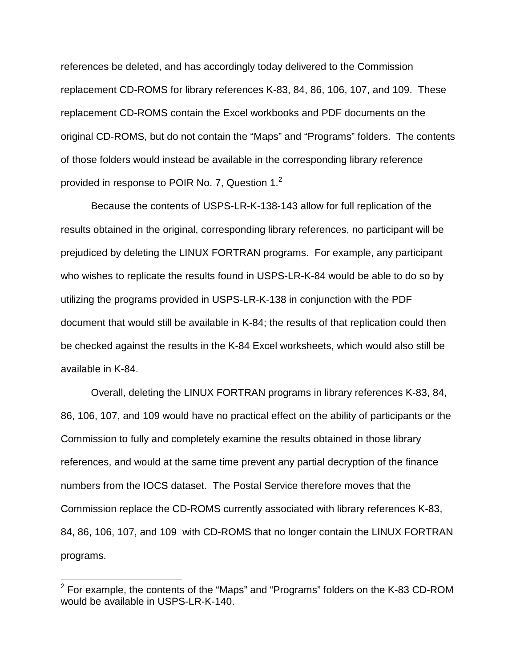references be deleted, and has accordingly today delivered to the Commission replacement CD-ROMS for library references K-83, 84, 86, 106, 107, and 109. These replacement CD-ROMS contain the Excel workbooks and PDF documents on the original CD-ROMS, but do not contain the "Maps" and "Programs" folders. The contents of those folders would instead be available in the corresponding library reference provided in response to POIR No. 7, Question 1.<sup>2</sup>

Because the contents of USPS-LR-K-138-143 allow for full replication of the results obtained in the original, corresponding library references, no participant will be prejudiced by deleting the LINUX FORTRAN programs. For example, any participant who wishes to replicate the results found in USPS-LR-K-84 would be able to do so by utilizing the programs provided in USPS-LR-K-138 in conjunction with the PDF document that would still be available in K-84; the results of that replication could then be checked against the results in the K-84 Excel worksheets, which would also still be available in K-84.

Overall, deleting the LINUX FORTRAN programs in library references K-83, 84, 86, 106, 107, and 109 would have no practical effect on the ability of participants or the Commission to fully and completely examine the results obtained in those library references, and would at the same time prevent any partial decryption of the finance numbers from the IOCS dataset. The Postal Service therefore moves that the Commission replace the CD-ROMS currently associated with library references K-83, 84, 86, 106, 107, and 109 with CD-ROMS that no longer contain the LINUX FORTRAN programs.

 $2$  For example, the contents of the "Maps" and "Programs" folders on the K-83 CD-ROM would be available in USPS-LR-K-140.